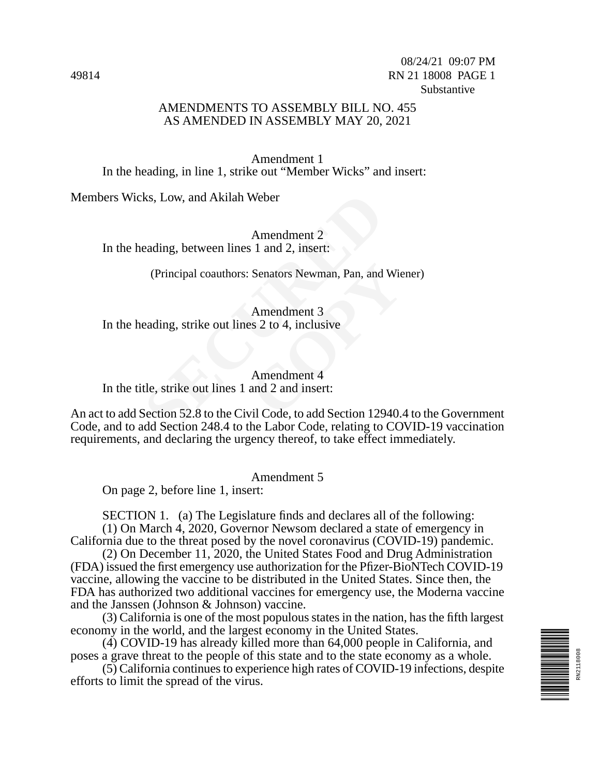08/24/21 09:07 PM 49814 RN 21 18008 PAGE 1 Substantive

### AMENDMENTS TO ASSEMBLY BILL NO. 455 AS AMENDED IN ASSEMBLY MAY 20, 2021

Amendment 1 In the heading, in line 1, strike out "Member Wicks" and insert:

Members Wicks, Low, and Akilah Weber

Amendment 2 In the heading, between lines 1 and 2, insert:

(Principal coauthors: Senators Newman, Pan, and Wiener)

Amendment 3 In the heading, strike out lines 2 to 4, inclusive

Senators Newman, Pan, and Wie<br>
Amendment 3<br>
es 2 to 4, inclusive<br>
Amendment 4<br>
and 2 and insert:<br>
vil Code. to add Section 12940.4 Amendment 4 In the title, strike out lines 1 and 2 and insert:

ks, Low, and Akilah Weber<br>
Amendment 2<br>
eading, between lines 1 and 2, insert:<br>
(Principal coauthors: Senators Newman, Pan, and<br>
Amendment 3<br>
eading, strike out lines 2 to 4, inclusive<br>
Amendment 4<br>
tle, strike out lines 1 An act to add Section 52.8 to the Civil Code, to add Section 12940.4 to the Government Code, and to add Section 248.4 to the Labor Code, relating to COVID-19 vaccination requirements, and declaring the urgency thereof, to take effect immediately.

Amendment 5

On page 2, before line 1, insert:

SECTION 1. (a) The Legislature finds and declares all of the following:

(1) On March 4, 2020, Governor Newsom declared a state of emergency in California due to the threat posed by the novel coronavirus (COVID-19) pandemic.

(2) On December 11, 2020, the United States Food and Drug Administration (FDA) issued the first emergency use authorization for the Pfizer-BioNTech COVID-19 vaccine, allowing the vaccine to be distributed in the United States. Since then, the FDA has authorized two additional vaccines for emergency use, the Moderna vaccine and the Janssen (Johnson & Johnson) vaccine.

(3) California is one of the most populous states in the nation, has the fifth largest economy in the world, and the largest economy in the United States.

(4) COVID-19 has already killed more than 64,000 people in California, and poses a grave threat to the people of this state and to the state economy as a whole.

(5) California continues to experience high rates of COVID-19 infections, despite efforts to limit the spread of the virus.

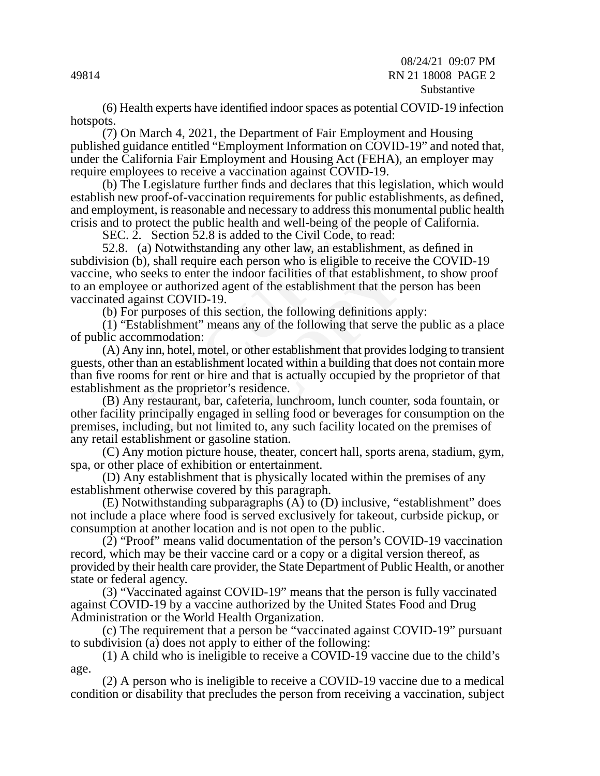#### 08/24/21 09:07 PM 49814 RN 21 18008 PAGE 2 Substantive

(6) Health experts have identified indoor spaces as potential COVID-19 infection hotspots.

(7) On March 4, 2021, the Department of Fair Employment and Housing published guidance entitled "Employment Information on COVID-19" and noted that, under the California Fair Employment and Housing Act (FEHA), an employer may require employees to receive a vaccination against COVID-19.

(b) The Legislature further finds and declares that this legislation, which would establish new proof-of-vaccination requirements for public establishments, as defined, and employment, is reasonable and necessary to address this monumental public health crisis and to protect the public health and well-being of the people of California.

SEC. 2. Section 52.8 is added to the Civil Code, to read:

proof-of-vaccination requirements for public estant, is reasonable and necessary to address this motect the public health and well-being of the pe Section 52.8 is added to the Civil Code, to rea a) Notwithstanding any othe 52.8. (a) Notwithstanding any other law, an establishment, as defined in subdivision (b), shall require each person who is eligible to receive the COVID-19 vaccine, who seeks to enter the indoor facilities of that establishment, to show proof to an employee or authorized agent of the establishment that the person has been vaccinated against COVID-19.

(b) For purposes of this section, the following definitions apply:

(1) "Establishment" means any of the following that serve the public as a place of public accommodation:

betsom who is engible to receive<br>coor facilities of that establishment<br>of the establishment that the p<br>on, the following definitions and<br>ny of the following that serve t<br>other establishment that provides<br>located within a b (A) Any inn, hotel, motel, or other establishment that provides lodging to transient guests, other than an establishment located within a building that does not contain more than five rooms for rent or hire and that is actually occupied by the proprietor of that establishment as the proprietor's residence.

(B) Any restaurant, bar, cafeteria, lunchroom, lunch counter, soda fountain, or other facility principally engaged in selling food or beverages for consumption on the premises, including, but not limited to, any such facility located on the premises of any retail establishment or gasoline station.

(C) Any motion picture house, theater, concert hall, sports arena, stadium, gym, spa, or other place of exhibition or entertainment.

(D) Any establishment that is physically located within the premises of any establishment otherwise covered by this paragraph.

(E) Notwithstanding subparagraphs (A) to (D) inclusive, "establishment" does not include a place where food is served exclusively for takeout, curbside pickup, or consumption at another location and is not open to the public.

 $(2)$  "Proof" means valid documentation of the person's COVID-19 vaccination record, which may be their vaccine card or a copy or a digital version thereof, as provided by their health care provider, the State Department of Public Health, or another state or federal agency.

(3) "Vaccinated against COVID-19" means that the person is fully vaccinated against COVID-19 by a vaccine authorized by the United States Food and Drug Administration or the World Health Organization.

(c) The requirement that a person be "vaccinated against COVID-19" pursuant to subdivision (a) does not apply to either of the following:

(1) A child who is ineligible to receive a COVID-19 vaccine due to the child's age.

(2) A person who is ineligible to receive a COVID-19 vaccine due to a medical condition or disability that precludes the person from receiving a vaccination, subject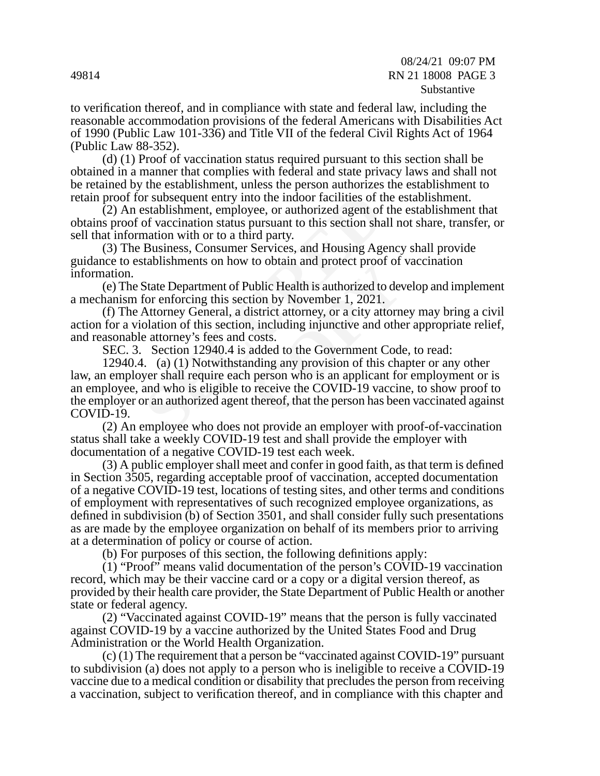#### 08/24/21 09:07 PM 49814 RN 21 18008 PAGE 3 Substantive

to verification thereof, and in compliance with state and federal law, including the reasonable accommodation provisions of the federal Americans with Disabilities Act of 1990 (Public Law 101-336) and Title VII of the federal Civil Rights Act of 1964 (Public Law 88-352).

(d) (1) Proof of vaccination status required pursuant to this section shall be obtained in a manner that complies with federal and state privacy laws and shall not be retained by the establishment, unless the person authorizes the establishment to retain proof for subsequent entry into the indoor facilities of the establishment.

(2) An establishment, employee, or authorized agent of the establishment that obtains proof of vaccination status pursuant to this section shall not share, transfer, or sell that information with or to a third party.

(3) The Business, Consumer Services, and Housing Agency shall provide guidance to establishments on how to obtain and protect proof of vaccination information.

(e) The State Department of Public Health is authorized to develop and implement a mechanism for enforcing this section by November 1, 2021.

(f) The Attorney General, a district attorney, or a city attorney may bring a civil action for a violation of this section, including injunctive and other appropriate relief, and reasonable attorney's fees and costs.

SEC. 3. Section 12940.4 is added to the Government Code, to read:

or subsequent entry into the indoor facilities of the stablishment, employee, or authorized agent of of vaccination status pursuant to this section shall mation with or to a third party.<br>Business, Consumer Services, and Ho to solar and protect proof of<br>
ublic Health is authorized to dev<br>
tion by November 1, 2021.<br>
listrict attorney, or a city attorney,<br>
in, including injunctive and othe<br>
costs.<br>
added to the Government Code<br>
nding any provis 12940.4. (a) (1) Notwithstanding any provision of this chapter or any other law, an employer shall require each person who is an applicant for employment or is an employee, and who is eligible to receive the COVID-19 vaccine, to show proof to the employer or an authorized agent thereof, that the person has been vaccinated against COVID-19.

(2) An employee who does not provide an employer with proof-of-vaccination status shall take a weekly COVID-19 test and shall provide the employer with documentation of a negative COVID-19 test each week.

(3) A public employer shall meet and confer in good faith, as that term is defined in Section 3505, regarding acceptable proof of vaccination, accepted documentation of a negative COVID-19 test, locations of testing sites, and other terms and conditions of employment with representatives of such recognized employee organizations, as defined in subdivision (b) of Section 3501, and shall consider fully such presentations as are made by the employee organization on behalf of its members prior to arriving at a determination of policy or course of action.

(b) For purposes of this section, the following definitions apply:

(1) "Proof" means valid documentation of the person's COVID-19 vaccination record, which may be their vaccine card or a copy or a digital version thereof, as provided by their health care provider, the State Department of Public Health or another state or federal agency.

(2) "Vaccinated against COVID-19" means that the person is fully vaccinated against COVID-19 by a vaccine authorized by the United States Food and Drug Administration or the World Health Organization.

(c) (1) The requirement that a person be "vaccinated against COVID-19" pursuant to subdivision (a) does not apply to a person who is ineligible to receive a COVID-19 vaccine due to a medical condition or disability that precludes the person from receiving a vaccination, subject to verification thereof, and in compliance with this chapter and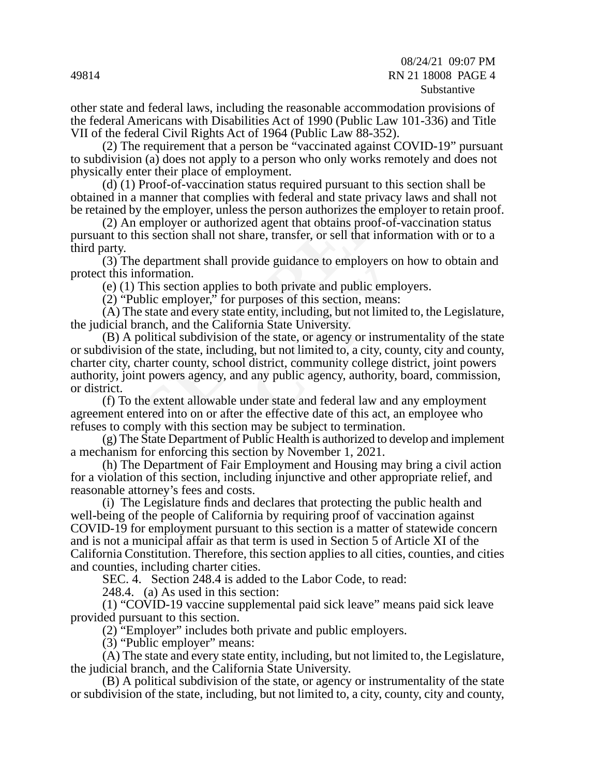other state and federal laws, including the reasonable accommodation provisions of the federal Americans with Disabilities Act of 1990 (Public Law 101-336) and Title VII of the federal Civil Rights Act of 1964 (Public Law 88-352).

(2) The requirement that a person be "vaccinated against COVID-19" pursuant to subdivision (a) does not apply to a person who only works remotely and does not physically enter their place of employment.

(d) (1) Proof-of-vaccination status required pursuant to this section shall be obtained in a manner that complies with federal and state privacy laws and shall not be retained by the employer, unless the person authorizes the employer to retain proof.

(2) An employer or authorized agent that obtains proof-of-vaccination status pursuant to this section shall not share, transfer, or sell that information with or to a third party.

(3) The department shall provide guidance to employers on how to obtain and protect this information.

(e) (1) This section applies to both private and public employers.

(2) "Public employer," for purposes of this section, means:

(A) The state and every state entity, including, but not limited to, the Legislature, the judicial branch, and the California State University.

manner that complies with federal and state priv<br>the employer, unless the person authorizes the employer or authorized agent that obtains proof-<br>is section shall not share, transfer, or sell that in<br>department shall provid both private and public employers on<br>proses of this section, means:<br>entity, including, but not limited<br>nia State University.<br>f the state, or agency or instrum<br>g, but not limited to, a city, coundistrict, community college (B) A political subdivision of the state, or agency or instrumentality of the state or subdivision of the state, including, but not limited to, a city, county, city and county, charter city, charter county, school district, community college district, joint powers authority, joint powers agency, and any public agency, authority, board, commission, or district.

(f) To the extent allowable under state and federal law and any employment agreement entered into on or after the effective date of this act, an employee who refuses to comply with this section may be subject to termination.

(g) The State Department of Public Health is authorized to develop and implement a mechanism for enforcing this section by November 1, 2021.

(h) The Department of Fair Employment and Housing may bring a civil action for a violation of this section, including injunctive and other appropriate relief, and reasonable attorney's fees and costs.

(i) The Legislature finds and declares that protecting the public health and well-being of the people of California by requiring proof of vaccination against COVID-19 for employment pursuant to this section is a matter of statewide concern and is not a municipal affair as that term is used in Section 5 of Article XI of the California Constitution. Therefore, this section applies to all cities, counties, and cities and counties, including charter cities.

SEC. 4. Section 248.4 is added to the Labor Code, to read:

248.4. (a) As used in this section:

(1) "COVID-19 vaccine supplemental paid sick leave" means paid sick leave provided pursuant to this section.

(2) "Employer" includes both private and public employers.

(3) "Public employer" means:

(A) The state and every state entity, including, but not limited to, the Legislature, the judicial branch, and the California State University.

(B) A political subdivision of the state, or agency or instrumentality of the state or subdivision of the state, including, but not limited to, a city, county, city and county,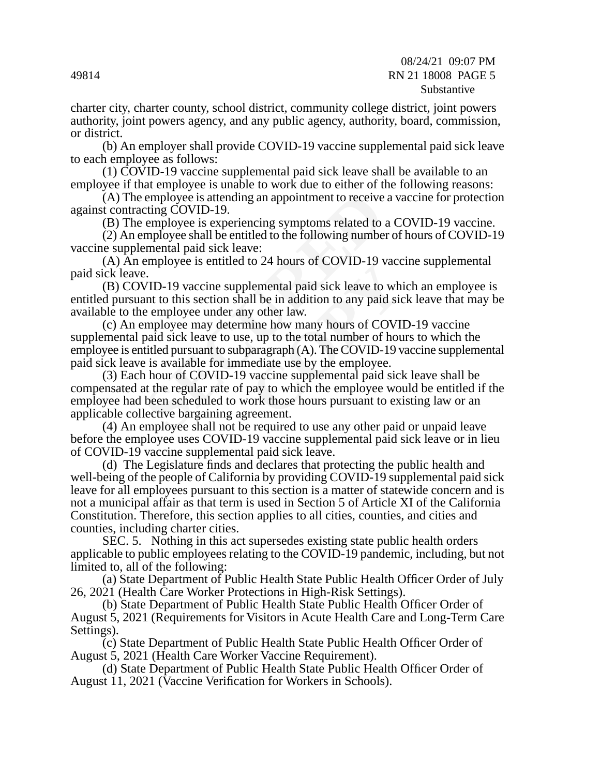charter city, charter county, school district, community college district, joint powers authority, joint powers agency, and any public agency, authority, board, commission, or district.

(b) An employer shall provide COVID-19 vaccine supplemental paid sick leave to each employee as follows:

(1) COVID-19 vaccine supplemental paid sick leave shall be available to an employee if that employee is unable to work due to either of the following reasons:

(A) The employee is attending an appointment to receive a vaccine for protection against contracting COVID-19.

(B) The employee is experiencing symptoms related to a COVID-19 vaccine.

(2) An employee shall be entitled to the following number of hours of COVID-19 vaccine supplemental paid sick leave:

(A) An employee is entitled to 24 hours of COVID-19 vaccine supplemental paid sick leave.

(B) COVID-19 vaccine supplemental paid sick leave to which an employee is entitled pursuant to this section shall be in addition to any paid sick leave that may be available to the employee under any other law.

COVID-19 vacuum<br>
lemental paid sick leave to whill<br>
be in addition to any paid sic<br>
y other law.<br>
inne how many hours of COVII<br>
i, up to the total number of hour<br>
paragraph (A). The COVID-19 v<br>
lediate use by the employee. (c) An employee may determine how many hours of COVID-19 vaccine supplemental paid sick leave to use, up to the total number of hours to which the employee is entitled pursuant to subparagraph (A). The COVID-19 vaccine supplemental paid sick leave is available for immediate use by the employee.

employee is attending an appointment to receive<br>cting COVID-19.<br>employee is experiencing symptoms related to<br>mployee is experiencing symptoms related to<br>mployee shall be entitled to the following numbe<br>emental paid sick le (3) Each hour of COVID-19 vaccine supplemental paid sick leave shall be compensated at the regular rate of pay to which the employee would be entitled if the employee had been scheduled to work those hours pursuant to existing law or an applicable collective bargaining agreement.

(4) An employee shall not be required to use any other paid or unpaid leave before the employee uses COVID-19 vaccine supplemental paid sick leave or in lieu of COVID-19 vaccine supplemental paid sick leave.

(d) The Legislature finds and declares that protecting the public health and well-being of the people of California by providing COVID-19 supplemental paid sick leave for all employees pursuant to this section is a matter of statewide concern and is not a municipal affair as that term is used in Section 5 of Article XI of the California Constitution. Therefore, this section applies to all cities, counties, and cities and counties, including charter cities.

SEC. 5. Nothing in this act supersedes existing state public health orders applicable to public employees relating to the COVID-19 pandemic, including, but not limited to, all of the following:

(a) State Department of Public Health State Public Health Officer Order of July 26, 2021 (Health Care Worker Protections in High-Risk Settings).

(b) State Department of Public Health State Public Health Officer Order of August 5, 2021 (Requirements for Visitors in Acute Health Care and Long-Term Care Settings).

(c) State Department of Public Health State Public Health Officer Order of August 5, 2021 (Health Care Worker Vaccine Requirement).

(d) State Department of Public Health State Public Health Officer Order of August 11, 2021 (Vaccine Verification for Workers in Schools).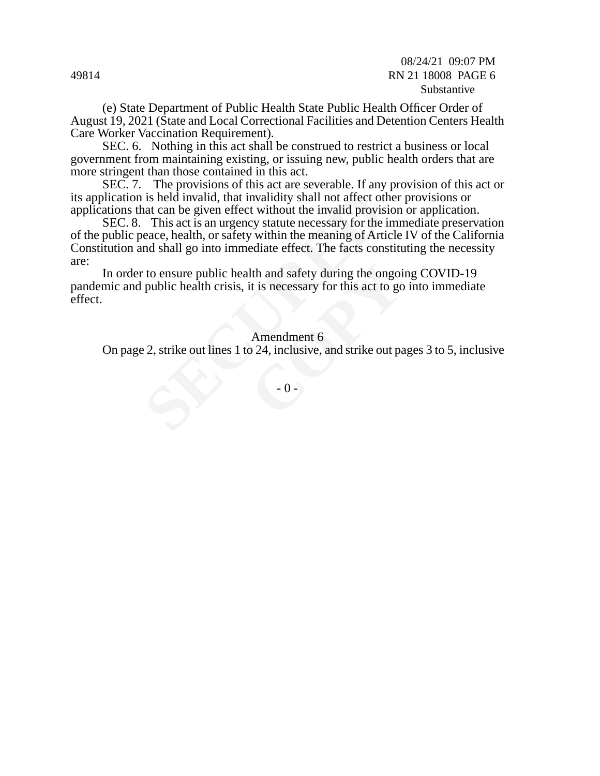08/24/21 09:07 PM 49814 RN 21 18008 PAGE 6 Substantive

(e) State Department of Public Health State Public Health Officer Order of August 19, 2021 (State and Local Correctional Facilities and Detention Centers Health Care Worker Vaccination Requirement).

SEC. 6. Nothing in this act shall be construed to restrict a business or local government from maintaining existing, or issuing new, public health orders that are more stringent than those contained in this act.

SEC. 7. The provisions of this act are severable. If any provision of this act or its application is held invalid, that invalidity shall not affect other provisions or applications that can be given effect without the invalid provision or application.

is held invalid, that invalidity shall not affect of<br>the nat can be given effect without the invalid provis<br>This act is an urgency statute necessary for the<br>eace, health, or safety within the meaning of Article and shall SEC. 8. This act is an urgency statute necessary for the immediate preservation of the public peace, health, or safety within the meaning of Article IV of the California Constitution and shall go into immediate effect. The facts constituting the necessity are:

Ith and safety during the ongoint is necessary for this act to go<br>it is necessary for this act to go<br>Amendment 6<br> $24$ , inclusive, and strike out pa<br> $-0$ In order to ensure public health and safety during the ongoing COVID-19 pandemic and public health crisis, it is necessary for this act to go into immediate effect.

#### Amendment 6

On page 2, strike out lines 1 to 24, inclusive, and strike out pages 3 to 5, inclusive

 $-0 -$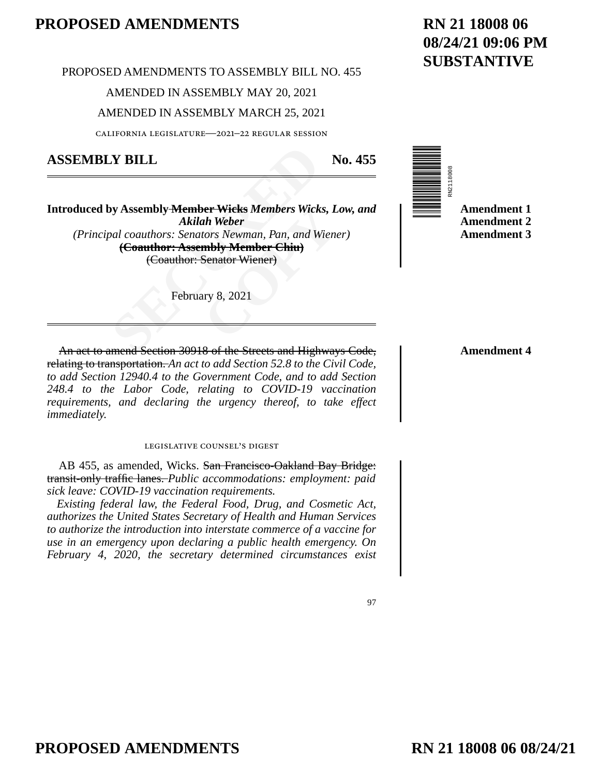PROPOSED AMENDMENTS TO ASSEMBLY BILL NO. 455

AMENDED IN ASSEMBLY MAY 20, 2021

### AMENDED IN ASSEMBLY MARCH 25, 2021

california legislature—2021–22 regular session

### **ASSEMBLY BILL No. 455**

**SECUTE:**<br>
SECUTE: Member Wicks Members Wick<br>
Akilah Weber<br>
Senators Newman, Pan, and W<br>
(Coauthor: Assembly Member Chiu)<br>
(Coauthor: Senator Wiener)<br>
February 8, 2021<br>
Therefore Section 30918 of the Streets and High **Fridding Members Wicks, Let Wicks Members Wicks, Let Weber**<br>**Corposition Wickey Member Chiu**<br> **Container Chiu**<br> **Container Wicher Chiu**<br> **Container Wicher Chiu**<br> **Container Chiu**<br> **Container Chiu**<br> **Container Chiu**<br> **Cont Introduced by Assembly Member Wicks** *Members Wicks, Low, and Akilah Weber (Principal coauthors: Senators Newman, Pan, and Wiener)* **(Coauthor: Assembly Member Chiu)** (Coauthor: Senator Wiener)

February 8, 2021



**Amendment 4**

An act to amend Section 30918 of the Streets and Highways Code, relating to transportation. *An act to add Section 52.8 to the Civil Code, to add Section 12940.4 to the Government Code, and to add Section 248.4 to the Labor Code, relating to COVID-19 vaccination requirements, and declaring the urgency thereof, to take effect immediately.*

#### legislative counsel's digest

AB 455, as amended, Wicks. San Francisco-Oakland Bay Bridge: transit-only traffic lanes. *Public accommodations: employment: paid sick leave: COVID-19 vaccination requirements.*

*Existing federal law, the Federal Food, Drug, and Cosmetic Act, authorizes the United States Secretary of Health and Human Services to authorize the introduction into interstate commerce of a vaccine for use in an emergency upon declaring a public health emergency. On February 4, 2020, the secretary determined circumstances exist* 

97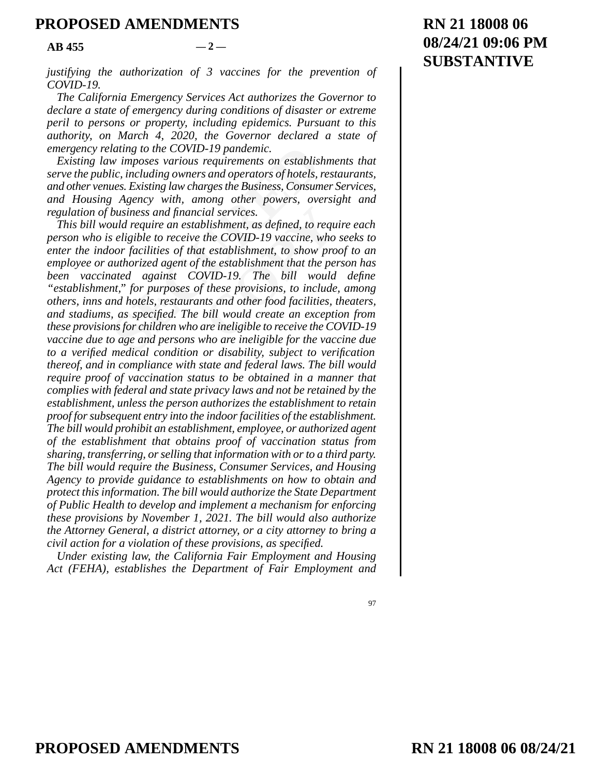$AB$  455  $-2$ 

*justifying the authorization of 3 vaccines for the prevention of COVID-19.* 

*The California Emergency Services Act authorizes the Governor to declare a state of emergency during conditions of disaster or extreme peril to persons or property, including epidemics. Pursuant to this authority, on March 4, 2020, the Governor declared a state of emergency relating to the COVID-19 pandemic.* 

*Existing law imposes various requirements on establishments that serve the public, including owners and operators of hotels, restaurants, and other venues. Existing law charges the Business, Consumer Services, and Housing Agency with, among other powers, oversight and regulation of business and financial services.* 

lating to the COVID-19 pandemic.<br>We imposes various requirements on establis.<br>lic, including owners and operators of hotels,<br>lues. Existing law charges the Business, Consum<br>Regency with, among other powers, ove<br>business an ial services.<br>
blishment, as defined, to requentle COVID-19 vaccine, who<br>
t establishment, to show pro<br>
the establishment that the pervicing<br>
the establishment that the pervicing<br>
f these provisions, to include<br>
the same i *This bill would require an establishment, as defined, to require each person who is eligible to receive the COVID-19 vaccine, who seeks to enter the indoor facilities of that establishment, to show proof to an employee or authorized agent of the establishment that the person has been vaccinated against COVID-19. The bill would define "establishment," for purposes of these provisions, to include, among others, inns and hotels, restaurants and other food facilities, theaters, and stadiums, as specified. The bill would create an exception from these provisions for children who are ineligible to receive the COVID-19 vaccine due to age and persons who are ineligible for the vaccine due to a verified medical condition or disability, subject to verification thereof, and in compliance with state and federal laws. The bill would require proof of vaccination status to be obtained in a manner that complies with federal and state privacy laws and not be retained by the establishment, unless the person authorizes the establishment to retain proof for subsequent entry into the indoor facilities of the establishment. The bill would prohibit an establishment, employee, or authorized agent of the establishment that obtains proof of vaccination status from sharing, transferring, or selling that information with or to a third party. The bill would require the Business, Consumer Services, and Housing Agency to provide guidance to establishments on how to obtain and protect this information. The bill would authorize the State Department of Public Health to develop and implement a mechanism for enforcing these provisions by November 1, 2021. The bill would also authorize the Attorney General, a district attorney, or a city attorney to bring a civil action for a violation of these provisions, as specified.* 

*Under existing law, the California Fair Employment and Housing Act (FEHA), establishes the Department of Fair Employment and*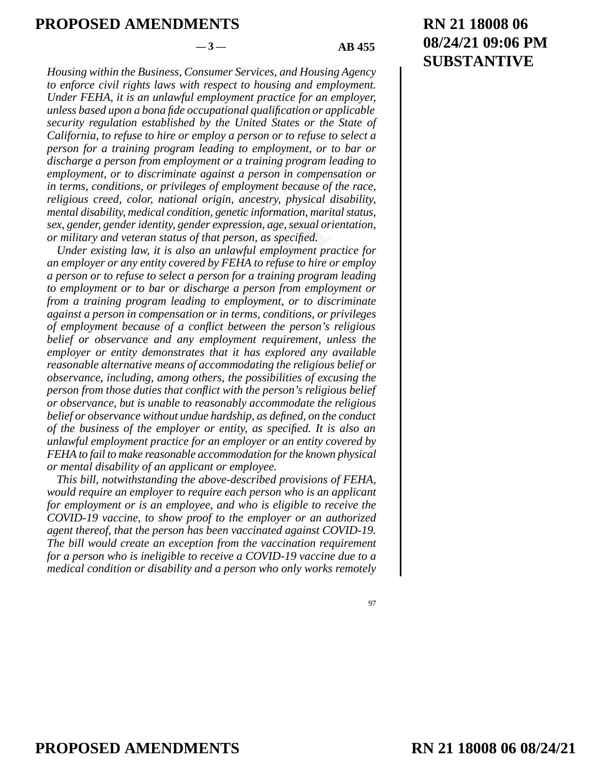### $-3$  — **AB** 455

*Housing within the Business, Consumer Services, and Housing Agency to enforce civil rights laws with respect to housing and employment. Under FEHA, it is an unlawful employment practice for an employer, unless based upon a bona fide occupational qualification or applicable security regulation established by the United States or the State of California, to refuse to hire or employ a person or to refuse to select a person for a training program leading to employment, or to bar or discharge a person from employment or a training program leading to employment, or to discriminate against a person in compensation or in terms, conditions, or privileges of employment because of the race, religious creed, color, national origin, ancestry, physical disability, mental disability, medical condition, genetic information, marital status, sex, gender, gender identity, gender expression, age, sexual orientation, or military and veteran status of that person, as specified.* 

training program leading to employment, o<br>erson from employment or a training progran<br>or to discriminate against a person in comp<br>ditions, or privileges of employment because<br>ed, color, national origin, ancestry, physica<br>l on, genetic information, maritarier expression, age, sexual orientrian person, as specified.<br>
that person, as specified.<br>
In unlawful employment practicle in unlawful employment praction<br>
of the person from employ<br>
the per *Under existing law, it is also an unlawful employment practice for an employer or any entity covered by FEHA to refuse to hire or employ a person or to refuse to select a person for a training program leading to employment or to bar or discharge a person from employment or from a training program leading to employment, or to discriminate against a person in compensation or in terms, conditions, or privileges of employment because of a conflict between the person's religious belief or observance and any employment requirement, unless the employer or entity demonstrates that it has explored any available reasonable alternative means of accommodating the religious belief or observance, including, among others, the possibilities of excusing the person from those duties that conflict with the person's religious belief or observance, but is unable to reasonably accommodate the religious belief or observance without undue hardship, as defined, on the conduct of the business of the employer or entity, as specified. It is also an unlawful employment practice for an employer or an entity covered by FEHA to fail to make reasonable accommodation for the known physical or mental disability of an applicant or employee.* 

*This bill, notwithstanding the above-described provisions of FEHA, would require an employer to require each person who is an applicant for employment or is an employee, and who is eligible to receive the COVID-19 vaccine, to show proof to the employer or an authorized agent thereof, that the person has been vaccinated against COVID-19. The bill would create an exception from the vaccination requirement for a person who is ineligible to receive a COVID-19 vaccine due to a medical condition or disability and a person who only works remotely*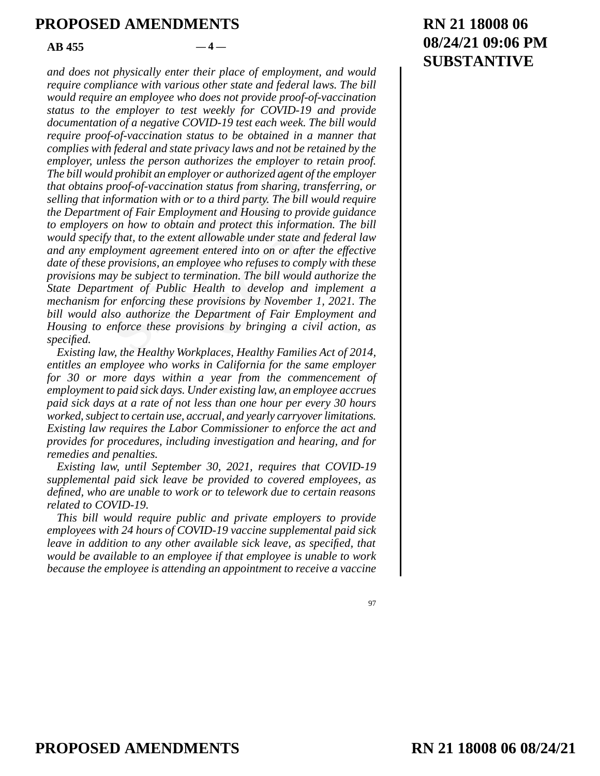#### $AB$  455  $-4$

I federal and state privacy laws and not be retard and state privacy laws and not be retard and prohibit an employer or authorized agent of the probibit an employer or authorized agent of the proof-of-vaccination status fr ent and Housing to provide g<br>
and protect this information.<br> **COPY INTER ENTER ENTER 18 ANDEN ENTER PERIMBEN SURVEY SURVEY SURVEY SURVEY SURVEY SURVEY SURVEY SURVEY SURVEY SURVEY SURVEY SURVEY SURVEY SURVEY SURVEY SURVEY S** *and does not physically enter their place of employment, and would require compliance with various other state and federal laws. The bill would require an employee who does not provide proof-of-vaccination status to the employer to test weekly for COVID-19 and provide documentation of a negative COVID-19 test each week. The bill would require proof-of-vaccination status to be obtained in a manner that complies with federal and state privacy laws and not be retained by the employer, unless the person authorizes the employer to retain proof. The bill would prohibit an employer or authorized agent of the employer that obtains proof-of-vaccination status from sharing, transferring, or selling that information with or to a third party. The bill would require the Department of Fair Employment and Housing to provide guidance to employers on how to obtain and protect this information. The bill would specify that, to the extent allowable under state and federal law and any employment agreement entered into on or after the effective date of these provisions, an employee who refuses to comply with these provisions may be subject to termination. The bill would authorize the State Department of Public Health to develop and implement a mechanism for enforcing these provisions by November 1, 2021. The bill would also authorize the Department of Fair Employment and Housing to enforce these provisions by bringing a civil action, as specified.* 

*Existing law, the Healthy Workplaces, Healthy Families Act of 2014, entitles an employee who works in California for the same employer for 30 or more days within a year from the commencement of employment to paid sick days. Under existing law, an employee accrues paid sick days at a rate of not less than one hour per every 30 hours worked, subject to certain use, accrual, and yearly carryover limitations. Existing law requires the Labor Commissioner to enforce the act and provides for procedures, including investigation and hearing, and for remedies and penalties.* 

*Existing law, until September 30, 2021, requires that COVID-19 supplemental paid sick leave be provided to covered employees, as defined, who are unable to work or to telework due to certain reasons related to COVID-19.* 

*This bill would require public and private employers to provide employees with 24 hours of COVID-19 vaccine supplemental paid sick leave in addition to any other available sick leave, as specified, that would be available to an employee if that employee is unable to work because the employee is attending an appointment to receive a vaccine* 

97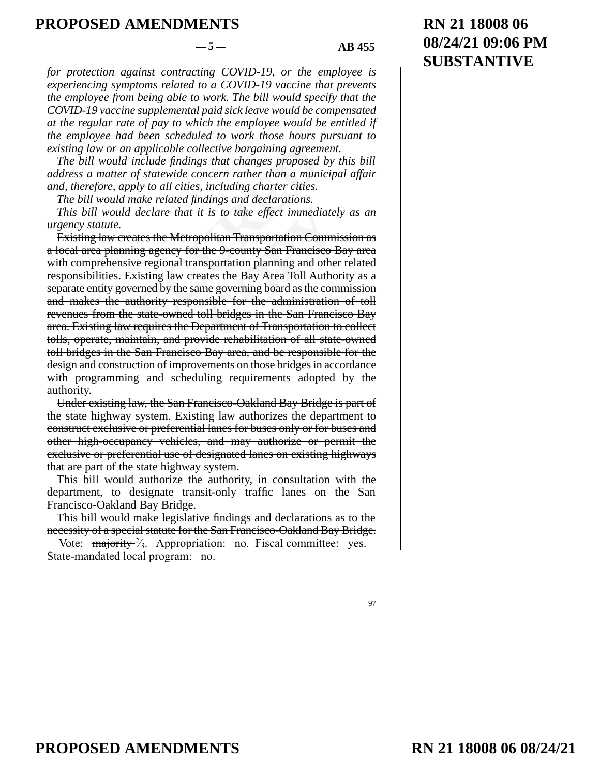#### $-5 - 1$  AB 455

*for protection against contracting COVID-19, or the employee is experiencing symptoms related to a COVID-19 vaccine that prevents the employee from being able to work. The bill would specify that the COVID-19 vaccine supplemental paid sick leave would be compensated at the regular rate of pay to which the employee would be entitled if the employee had been scheduled to work those hours pursuant to existing law or an applicable collective bargaining agreement.* 

*The bill would include findings that changes proposed by this bill address a matter of statewide concern rather than a municipal affair and, therefore, apply to all cities, including charter cities.* 

*The bill would make related findings and declarations.* 

*This bill would declare that it is to take effect immediately as an urgency statute.* 

or an applicable collective bargaining agreem<br>
buld include findings that changes proposed<br>
tter of statewide concern rather than a munie, apply to all cities, including charter cities.<br>
all make related findings and decla *Constitution Commington Commington Commington Commington Commington Commington Commington Commington Commington Commington Commington Commington Commington Commington Commington Commington Commington Commington Commington* Existing law creates the Metropolitan Transportation Commission as a local area planning agency for the 9-county San Francisco Bay area with comprehensive regional transportation planning and other related responsibilities. Existing law creates the Bay Area Toll Authority as a separate entity governed by the same governing board as the commission and makes the authority responsible for the administration of toll revenues from the state-owned toll bridges in the San Francisco Bay area. Existing law requires the Department of Transportation to collect tolls, operate, maintain, and provide rehabilitation of all state-owned toll bridges in the San Francisco Bay area, and be responsible for the design and construction of improvements on those bridges in accordance with programming and scheduling requirements adopted by the authority.

Under existing law, the San Francisco-Oakland Bay Bridge is part of the state highway system. Existing law authorizes the department to construct exclusive or preferential lanes for buses only or for buses and other high-occupancy vehicles, and may authorize or permit the exclusive or preferential use of designated lanes on existing highways that are part of the state highway system.

This bill would authorize the authority, in consultation with the department, to designate transit-only traffic lanes on the San Francisco-Oakland Bay Bridge.

This bill would make legislative findings and declarations as to the necessity of a special statute for the San Francisco-Oakland Bay Bridge.

Vote: majority <sup>2</sup>/<sup>3</sup>. Appropriation: no. Fiscal committee: yes. State-mandated local program: no.

#### 97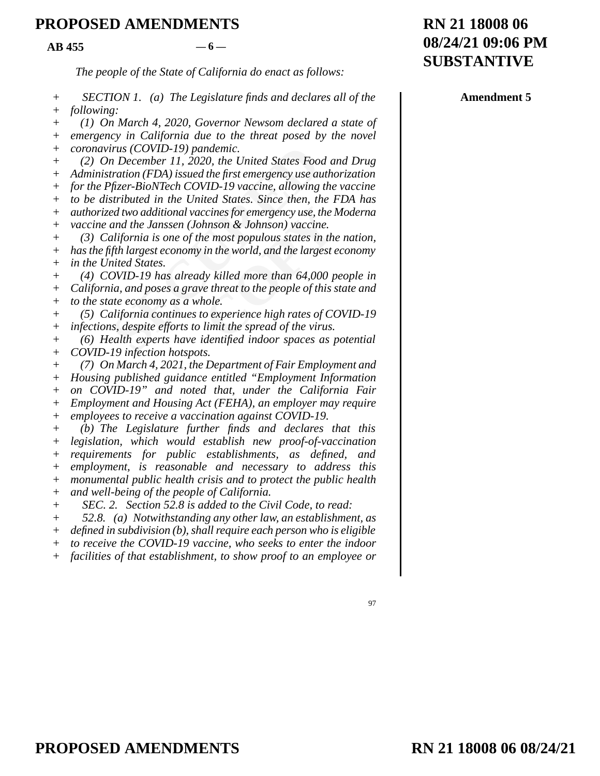$AB$  455  $-6$ 

*The people of the State of California do enact as follows:* 

*SECTION 1. (a) The Legislature finds and declares all of the following:*  + +

*(1) On March 4, 2020, Governor Newsom declared a state of emergency in California due to the threat posed by the novel*   $+$ +

*coronavirus (COVID-19) pandemic.*  +

*(2) On December 11, 2020, the United States Food and Drug Administration (FDA) issued the first emergency use authorization*  + +

irus (COVID-19) pandemic.<br>
In December 11, 2020, the United States Footration (FDA) issued the first emergency use at<br>
fizer-BioNTech COVID-19 vaccine, allowing<br>
stributed in the United States. Since then, the<br>
d two addit *for the Pfizer-BioNTech COVID-19 vaccine, allowing the vaccine to be distributed in the United States. Since then, the FDA has authorized two additional vaccines for emergency use, the Moderna*   $+$ + +

*vaccine and the Janssen (Johnson & Johnson) vaccine.*   $+$ 

ccines for emergency use, the *N*<br>hnson & Johnson) vaccine.<br>he most populous states in the<br>in the world, and the largest e<br>by killed more than 64,000 p<br>e threat to the people of this s<br>hole.<br>o experience high rates of CC<br>l *(3) California is one of the most populous states in the nation, has the fifth largest economy in the world, and the largest economy in the United States.*  + + +

*(4) COVID-19 has already killed more than 64,000 people in California, and poses a grave threat to the people of this state and to the state economy as a whole.*   $+$ + +

*(5) California continues to experience high rates of COVID-19 infections, despite efforts to limit the spread of the virus.*  + +

*(6) Health experts have identified indoor spaces as potential COVID-19 infection hotspots.*  + +

*(7) On March 4, 2021, the Department of Fair Employment and Housing published guidance entitled "Employment Information on COVID-19" and noted that, under the California Fair Employment and Housing Act (FEHA), an employer may require employees to receive a vaccination against COVID-19.*   $+$  $+$ +  $+$ +

*(b) The Legislature further finds and declares that this legislation, which would establish new proof-of-vaccination requirements for public establishments, as defined, and employment, is reasonable and necessary to address this monumental public health crisis and to protect the public health and well-being of the people of California.*   $+$ + +  $+$ +  $+$ 

*SEC. 2. Section 52.8 is added to the Civil Code, to read:*   $+$ 

*52.8. (a) Notwithstanding any other law, an establishment, as*   $+$ 

*defined in subdivision (b), shall require each person who is eligible*  +

*to receive the COVID-19 vaccine, who seeks to enter the indoor*   $+$ 

*facilities of that establishment, to show proof to an employee or*  +

# **RN 21 18008 06 08/24/21 09:06 PM SUBSTANTIVE**

**Amendment 5**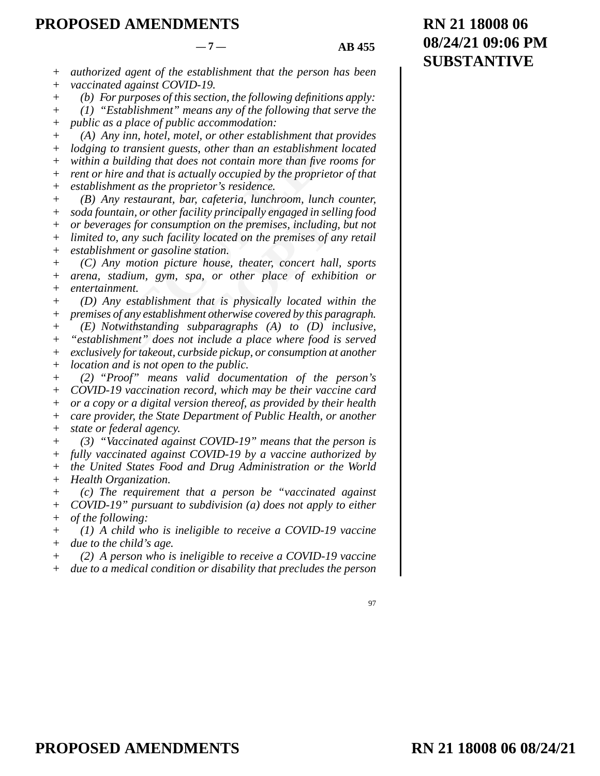$-7 - 1$  AB 455

*authorized agent of the establishment that the person has been vaccinated against COVID-19.*  + +

*(b) For purposes of this section, the following definitions apply:*  +

*(1) "Establishment" means any of the following that serve the*  +

*public as a place of public accommodation:*   $^{+}$ 

*(A) Any inn, hotel, motel, or other establishment that provides lodging to transient guests, other than an establishment located within a building that does not contain more than five rooms for rent or hire and that is actually occupied by the proprietor of that*  + + + +

*establishment as the proprietor's residence.*   $+$ 

to transient guests, other than an establishm<br>building that does not contain more than fiv<br>ire and that is actually occupied by the propr<br>iment as the proprietor's residence.<br>my restaurant, bar, cafeteria, lunchroom, lun<br>m ity principally engaged in sell<br>on on the premises, including<br>located on the premises of a<br>ation.<br>house, theater, concert hall<br>on the place of exhibition is physically located with<br>the intervise covered by this paint to th *(B) Any restaurant, bar, cafeteria, lunchroom, lunch counter, soda fountain, or other facility principally engaged in selling food or beverages for consumption on the premises, including, but not limited to, any such facility located on the premises of any retail establishment or gasoline station.*   $+$ +  $+$ + +

*(C) Any motion picture house, theater, concert hall, sports arena, stadium, gym, spa, or other place of exhibition or entertainment.*  + +  $+$ 

*(D) Any establishment that is physically located within the premises of any establishment otherwise covered by this paragraph.*  +  $+$ 

*(E) Notwithstanding subparagraphs (A) to (D) inclusive, "establishment" does not include a place where food is served exclusively for takeout, curbside pickup, or consumption at another location and is not open to the public.*  + + + +

*(2) "Proof" means valid documentation of the person's COVID-19 vaccination record, which may be their vaccine card or a copy or a digital version thereof, as provided by their health care provider, the State Department of Public Health, or another state or federal agency.*   $+$ + + + +

*(3) "Vaccinated against COVID-19" means that the person is fully vaccinated against COVID-19 by a vaccine authorized by the United States Food and Drug Administration or the World Health Organization.*  + + + +

*(c) The requirement that a person be "vaccinated against COVID-19" pursuant to subdivision (a) does not apply to either of the following:*   $+$ + +

*(1) A child who is ineligible to receive a COVID-19 vaccine due to the child's age.*  +  $+$ 

*(2) A person who is ineligible to receive a COVID-19 vaccine*  +

*due to a medical condition or disability that precludes the person*   $+$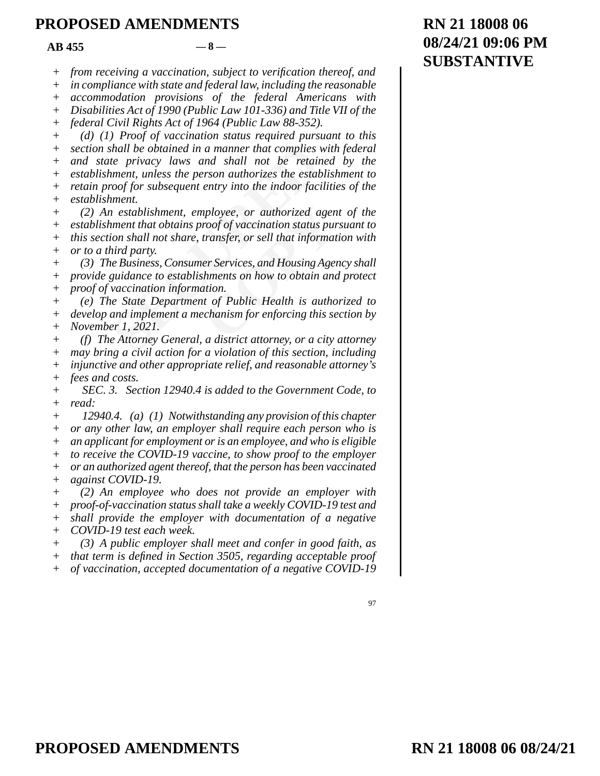$AB$  455  $-8$ 

*from receiving a vaccination, subject to verification thereof, and*  +

*in compliance with state and federal law, including the reasonable*  +

*accommodation provisions of the federal Americans with*  +

*Disabilities Act of 1990 (Public Law 101-336) and Title VII of the*  +

*federal Civil Rights Act of 1964 (Public Law 88-352).*   $+$ 

shall be obtained in a manner that complies is<br>te privacy laws and shall not be retain-<br>innent, unless the person authorizes the estabroof for subsequent entry into the indoor fact<br>innent.<br>in establishment, employee, or au *(d) (1) Proof of vaccination status required pursuant to this section shall be obtained in a manner that complies with federal and state privacy laws and shall not be retained by the establishment, unless the person authorizes the establishment to retain proof for subsequent entry into the indoor facilities of the establishment.*  +  $+$  $+$ +  $+$  $+$ 

*uployee, or authorized agen*<br> *coof of vaccination status pur*<br> *coof of vaccination status pur*<br> *consigner*<br> *consigner*<br> *consigner*<br> *consigner*<br> *consigner*<br> *consigner*<br> *consigner*<br> *consigner*<br> *consigner*<br> *consi (2) An establishment, employee, or authorized agent of the establishment that obtains proof of vaccination status pursuant to this section shall not share, transfer, or sell that information with or to a third party.*  +  $+$ + +

*(3) The Business, Consumer Services, and Housing Agency shall provide guidance to establishments on how to obtain and protect proof of vaccination information.*  + +  $+$ 

*(e) The State Department of Public Health is authorized to develop and implement a mechanism for enforcing this section by November 1, 2021.*  + + +

*(f) The Attorney General, a district attorney, or a city attorney may bring a civil action for a violation of this section, including injunctive and other appropriate relief, and reasonable attorney's fees and costs.*  + + +  $+$ 

*SEC. 3. Section 12940.4 is added to the Government Code, to read:*  +  $+$ 

*12940.4. (a) (1) Notwithstanding any provision of this chapter or any other law, an employer shall require each person who is an applicant for employment or is an employee, and who is eligible to receive the COVID-19 vaccine, to show proof to the employer or an authorized agent thereof, that the person has been vaccinated against COVID-19.*  +  $+$ + + + +

*(2) An employee who does not provide an employer with proof-of-vaccination status shall take a weekly COVID-19 test and shall provide the employer with documentation of a negative COVID-19 test each week.*   $+$  $+$ + +

*(3) A public employer shall meet and confer in good faith, as*   $+$ 

*that term is defined in Section 3505, regarding acceptable proof*  +

*of vaccination, accepted documentation of a negative COVID-19*   $+$ 

# **RN 21 18008 06 08/24/21 09:06 PM SUBSTANTIVE**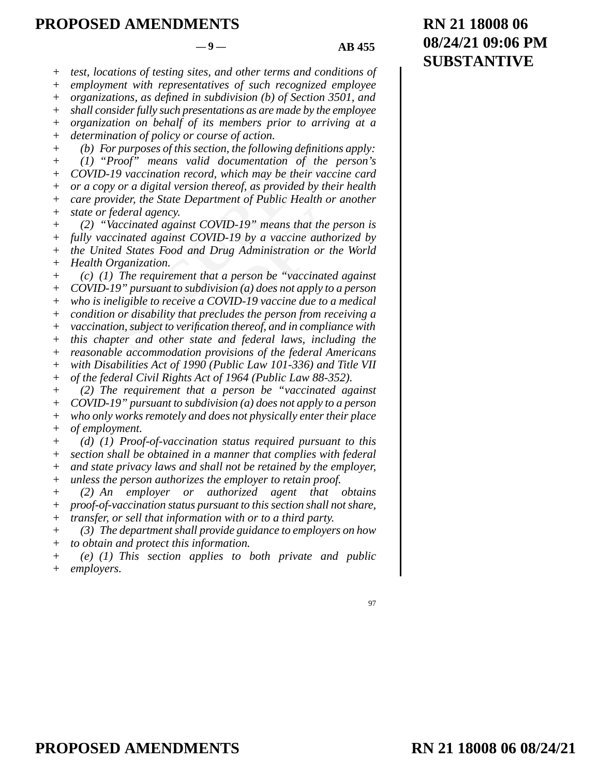97

*test, locations of testing sites, and other terms and conditions of*  +

*employment with representatives of such recognized employee organizations, as defined in subdivision (b) of Section 3501, and*  +

*shall consider fully such presentations as are made by the employee*  + +

*organization on behalf of its members prior to arriving at a*   $^{+}$ 

*determination of policy or course of action.*  +

*(b) For purposes of this section, the following definitions apply:*  +

*(1) "Proof" means valid documentation of the person's COVID-19 vaccination record, which may be their vaccine card or a copy or a digital version thereof, as provided by their health care provider, the State Department of Public Health or another state or federal agency.*  +  $^{+}$  $+$  $+$ +

*(2) "Vaccinated against COVID-19" means that the person is fully vaccinated against COVID-19 by a vaccine authorized by the United States Food and Drug Administration or the World Health Organization.*   $+$ + + +

or purposes of this section, the following definiation<br>Proof" means valid documentation of the 19 vaccination record, which may be their v,<br>y or a digital version thereof, as provided by<br>wider, the State Department of Publ COVID-19" means that the p<br>
COVID-19 by a vaccine autho<br> **COVID-19 by a vaccine autho**<br> **COVID-19 vaccine due to a**<br> **COVID-19 vaccine due to a**<br> **COVID-19 vaccine due to a**<br> **COVID-19 vaccine due to a**<br> **COVID-19 vaccine** *(c) (1) The requirement that a person be "vaccinated against COVID-19" pursuant to subdivision (a) does not apply to a person who is ineligible to receive a COVID-19 vaccine due to a medical condition or disability that precludes the person from receiving a vaccination, subject to verification thereof, and in compliance with this chapter and other state and federal laws, including the reasonable accommodation provisions of the federal Americans with Disabilities Act of 1990 (Public Law 101-336) and Title VII of the federal Civil Rights Act of 1964 (Public Law 88-352). (2) The requirement that a person be "vaccinated against*   $+$  $+$ + + + + + +  $+$ +

*COVID-19" pursuant to subdivision (a) does not apply to a person who only works remotely and does not physically enter their place of employment.*   $+$ +  $+$ 

*(d) (1) Proof-of-vaccination status required pursuant to this section shall be obtained in a manner that complies with federal and state privacy laws and shall not be retained by the employer, unless the person authorizes the employer to retain proof.*  + + + +

*(2) An employer or authorized agent that obtains proof-of-vaccination status pursuant to this section shall not share, transfer, or sell that information with or to a third party.*  + + +

*(3) The department shall provide guidance to employers on how*  +

*to obtain and protect this information.*   $+$ 

*(e) (1) This section applies to both private and public employers.*  +  $+$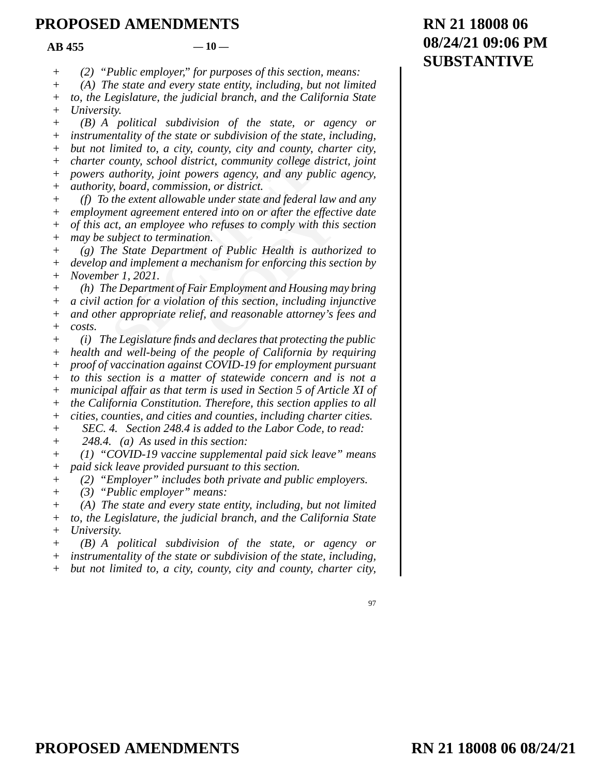$AB$  455  $-10$ 

*(2) "Public employer," for purposes of this section, means:*   $+$ 

*(A) The state and every state entity, including, but not limited*   $+$ 

*to, the Legislature, the judicial branch, and the California State University.*   $+$  $+$ 

*(B) A political subdivision of the state, or agency or instrumentality of the state or subdivision of the state, including, but not limited to, a city, county, city and county, charter city, charter county, school district, community college district, joint powers authority, joint powers agency, and any public agency, authority, board, commission, or district.*   $+$ + + + +  $+$ 

limited to, a city, county, city and county, county, county, school district, community college dauthority, joint powers agency, and any pul<br>y, board, commission, or district.<br>the extent allowable under state and federal l *(f) To the extent allowable under state and federal law and any employment agreement entered into on or after the effective date of this act, an employee who refuses to comply with this section may be subject to termination.*   $+$ +  $+$ +

*(g) The State Department of Public Health is authorized to develop and implement a mechanism for enforcing this section by November 1, 2021.*  + + +

red into on or after the effect<br>o refuses to comply with this<br>on.<br>to of Public Health is autho<br>chanism for enforcing this se<br>r Employment and Housing m<br>i of this section, including in<br>f, and reasonable attorney's j *(h) The Department of Fair Employment and Housing may bring a civil action for a violation of this section, including injunctive and other appropriate relief, and reasonable attorney's fees and costs.*   $+$ + + +

*(i) The Legislature finds and declares that protecting the public health and well-being of the people of California by requiring proof of vaccination against COVID-19 for employment pursuant to this section is a matter of statewide concern and is not a municipal affair as that term is used in Section 5 of Article XI of the California Constitution. Therefore, this section applies to all cities, counties, and cities and counties, including charter cities. SEC. 4. Section 248.4 is added to the Labor Code, to read:*   $+$ + +  $+$ +  $+$ +  $+$ 

*248.4. (a) As used in this section:*   $+$ 

*(1) "COVID-19 vaccine supplemental paid sick leave" means paid sick leave provided pursuant to this section.*   $+$ +

*(2) "Employer" includes both private and public employers.*   $+$ 

*(3) "Public employer" means:*  +

*(A) The state and every state entity, including, but not limited to, the Legislature, the judicial branch, and the California State University.*   $+$ + +

*(B) A political subdivision of the state, or agency or instrumentality of the state or subdivision of the state, including,*   $+$ +

*but not limited to, a city, county, city and county, charter city,*   $+$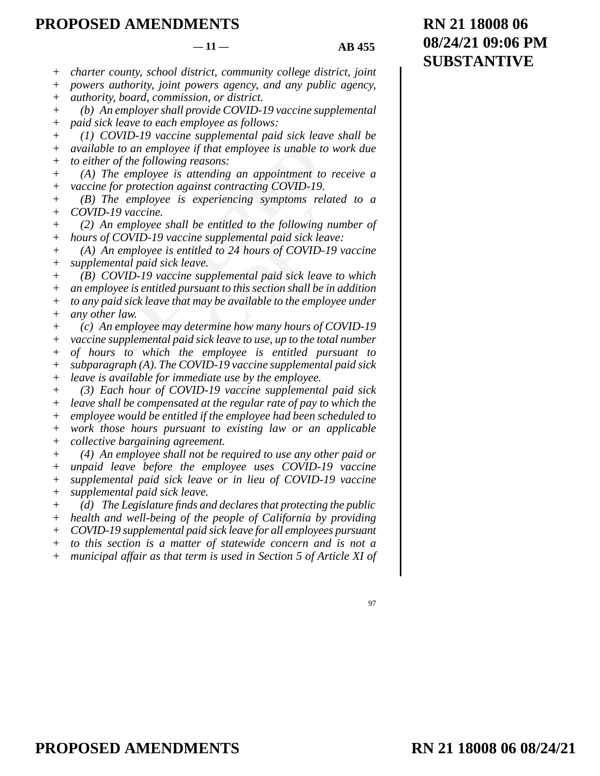*charter county, school district, community college district, joint*  +

*powers authority, joint powers agency, and any public agency,*  +

*authority, board, commission, or district.*  +

*(b) An employer shall provide COVID-19 vaccine supplemental*  +

*paid sick leave to each employee as follows:*   $^{+}$ 

*(1) COVID-19 vaccine supplemental paid sick leave shall be available to an employee if that employee is unable to work due to either of the following reasons:*   $+$ + +

*(A) The employee is attending an appointment to receive a vaccine for protection against contracting COVID-19.*  +  $+$ 

*(B) The employee is experiencing symptoms related to a COVID-19 vaccine.*   $+$ +

*(2) An employee shall be entitled to the following number of hours of COVID-19 vaccine supplemental paid sick leave:*   $+$ +

*(A) An employee is entitled to 24 hours of COVID-19 vaccine supplemental paid sick leave.*  + +

*Examployee if that employee is unable i*<br> *Sect of the following reasons:*<br> *Sect of the following reasons:*<br> *Secure is attending an appointment to<br>
for protection against contracting COVID-19*<br> *Permployee is experienci* entitled to the following nu<br>
supplemental paid sick leave<br>
ed to 24 hours of COVID-19<br>
e.<br>
upplemental paid sick leave<br>
uant to this section shall be in<br>
ay be available to the employe<br>
renine how many hours of CC<br>
ick le *(B) COVID-19 vaccine supplemental paid sick leave to which an employee is entitled pursuant to this section shall be in addition to any paid sick leave that may be available to the employee under any other law.*   $+$  $+$ + +

*(c) An employee may determine how many hours of COVID-19 vaccine supplemental paid sick leave to use, up to the total number of hours to which the employee is entitled pursuant to subparagraph (A). The COVID-19 vaccine supplemental paid sick leave is available for immediate use by the employee.*  + + + + +

*(3) Each hour of COVID-19 vaccine supplemental paid sick leave shall be compensated at the regular rate of pay to which the employee would be entitled if the employee had been scheduled to work those hours pursuant to existing law or an applicable collective bargaining agreement.*  +  $+$ +  $+$ +

*(4) An employee shall not be required to use any other paid or unpaid leave before the employee uses COVID-19 vaccine supplemental paid sick leave or in lieu of COVID-19 vaccine supplemental paid sick leave.*  + + +  $+$ 

*(d) The Legislature finds and declares that protecting the public health and well-being of the people of California by providing COVID-19 supplemental paid sick leave for all employees pursuant*   $+$ + +

*to this section is a matter of statewide concern and is not a*   $+$ 

*municipal affair as that term is used in Section 5 of Article XI of*  +

<sup>97</sup>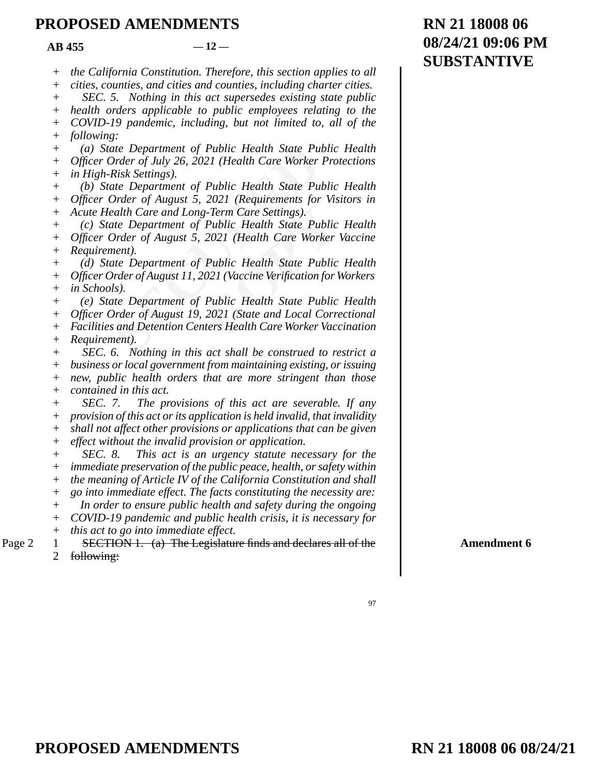$AR$  455  $-12-$ 

| RN 21 18008 06     |
|--------------------|
| 08/24/21 09:06 PM  |
| <b>SUBSTANTIVE</b> |

*the California Constitution. Therefore, this section applies to all*  +

*cities, counties, and cities and counties, including charter cities. SEC. 5. Nothing in this act supersedes existing state public*  + +

*health orders applicable to public employees relating to the*  +

*COVID-19 pandemic, including, but not limited to, all of the following:*   $^{+}$ +

*(a) State Department of Public Health State Public Health Officer Order of July 26, 2021 (Health Care Worker Protections in High-Risk Settings).*  +  $+$ +

*(b) State Department of Public Health State Public Health Officer Order of August 5, 2021 (Requirements for Visitors in*   $+$  $+$ 

*Acute Health Care and Long-Term Care Settings).*  +

*(c) State Department of Public Health State Public Health Officer Order of August 5, 2021 (Health Care Worker Vaccine*   $+$ +

*Requirement).*  +

ate Department of Public Health State Pu<br>
Order of July 26, 2021 (Health Care Worker<br>
Risk Settings).<br>
ate Department of Public Health State Pu<br>
Order of August 5, 2021 (Requirements for<br>
ealth Care and Long-Term Care Sett g-Term Care Settings).<br>
Public Health State Public<br>
2021 (Health Care Worker<br>
Public Health State Public<br>
021 (Vaccine Verification for<br>
Public Health State Public<br>
2021 (State and Local Corr<br>
nters Health Care Worker Vac *(d) State Department of Public Health State Public Health Officer Order of August 11, 2021 (Vaccine Verification for Workers in Schools).*  + +  $+$ 

*(e) State Department of Public Health State Public Health*  +

*Officer Order of August 19, 2021 (State and Local Correctional*  +

*Facilities and Detention Centers Health Care Worker Vaccination*  +

*Requirement).*  +

*SEC. 6. Nothing in this act shall be construed to restrict a*  +

*business or local government from maintaining existing, or issuing new, public health orders that are more stringent than those*  + +

*contained in this act.*  +

*SEC. 7. The provisions of this act are severable. If any*   $+$ 

*provision of this act or its application is held invalid, that invalidity*  +

*shall not affect other provisions or applications that can be given*   $+$ 

*effect without the invalid provision or application.*  +

*SEC. 8. This act is an urgency statute necessary for the immediate preservation of the public peace, health, or safety within*   $^{+}$ +

*the meaning of Article IV of the California Constitution and shall*  +

*go into immediate effect. The facts constituting the necessity are:*   $+$ 

*In order to ensure public health and safety during the ongoing*   $+$ 

*COVID-19 pandemic and public health crisis, it is necessary for*   $+$ 

*this act to go into immediate effect.*  +

SECTION 1. (a) The Legislature finds and declares all of the following: Page  $2 \quad 1$ 2

**Amendment 6**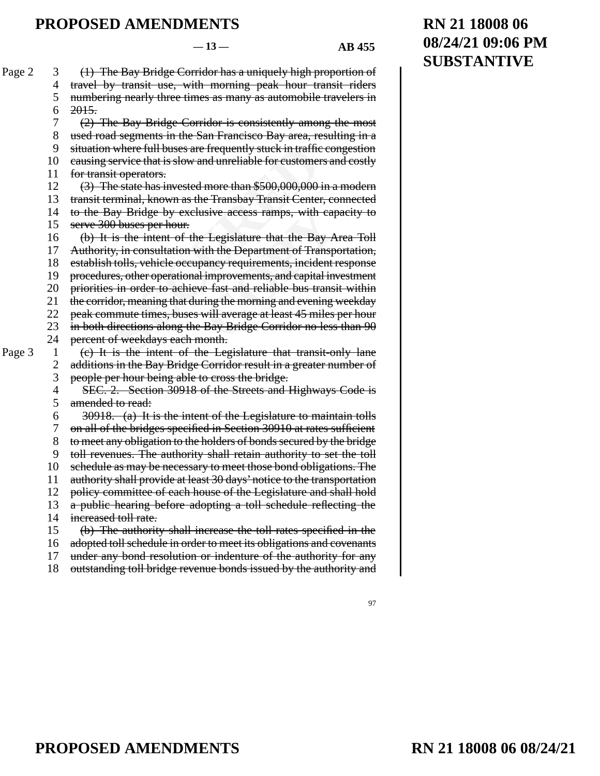97

For the Houses are frequently stuck in traffic<br>service that is slow and unreliable for customer<br>it operators.<br>ne state has invested more than \$500,000,000-<br>rrminal, known as the Transbay Transit Center<br>day Bridge by exclus **Example 3** Exercise School Singleton<br>
Exercise School Singleton<br>
Consider that the Bay A<br>
ith the Department of Transpoancy requirements, incident in<br>
improvements, and capital inverses<br>
the morning and evening<br>
will aver (1) The Bay Bridge Corridor has a uniquely high proportion of travel by transit use, with morning peak hour transit riders numbering nearly three times as many as automobile travelers in 2015. (2) The Bay Bridge Corridor is consistently among the most used road segments in the San Francisco Bay area, resulting in a situation where full buses are frequently stuck in traffic congestion causing service that is slow and unreliable for customers and costly for transit operators. (3) The state has invested more than \$500,000,000 in a modern transit terminal, known as the Transbay Transit Center, connected to the Bay Bridge by exclusive access ramps, with capacity to serve 300 buses per hour. (b) It is the intent of the Legislature that the Bay Area Toll Authority, in consultation with the Department of Transportation, establish tolls, vehicle occupancy requirements, incident response procedures, other operational improvements, and capital investment priorities in order to achieve fast and reliable bus transit within the corridor, meaning that during the morning and evening weekday peak commute times, buses will average at least 45 miles per hour in both directions along the Bay Bridge Corridor no less than 90 percent of weekdays each month. (c) It is the intent of the Legislature that transit-only lane additions in the Bay Bridge Corridor result in a greater number of people per hour being able to cross the bridge. SEC. 2. Section 30918 of the Streets and Highways Code is amended to read: 30918. (a) It is the intent of the Legislature to maintain tolls on all of the bridges specified in Section 30910 at rates sufficient to meet any obligation to the holders of bonds secured by the bridge toll revenues. The authority shall retain authority to set the toll schedule as may be necessary to meet those bond obligations. The authority shall provide at least 30 days' notice to the transportation policy committee of each house of the Legislature and shall hold a public hearing before adopting a toll schedule reflecting the increased toll rate. (b) The authority shall increase the toll rates specified in the adopted toll schedule in order to meet its obligations and covenants under any bond resolution or indenture of the authority for any outstanding toll bridge revenue bonds issued by the authority and  $-13 - 4B 455$ Page 2 3 4 5 6 7 8 9 10 11 12 13 14 15 16 17 18 19 20 21 22 23 24 Page  $3 \t 1$ 2 3 4 5 6 7 8 9 10 11 12 13 14 15 16 17 18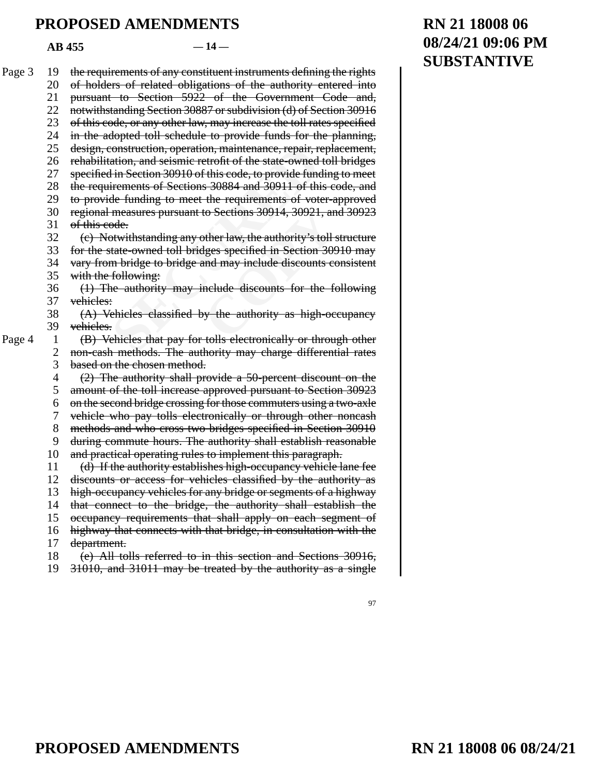$AB$  455  $-14$ 

| Page 3 | 19             | the requirements of any constituent instruments defining the rights   |
|--------|----------------|-----------------------------------------------------------------------|
|        | 20             | of holders of related obligations of the authority entered into       |
|        | 21             | pursuant to Section 5922 of the Government Code and,                  |
|        | 22             | notwithstanding Section 30887 or subdivision (d) of Section 30916     |
|        | 23             | of this code, or any other law, may increase the toll rates specified |
|        | 24             | in the adopted toll schedule to provide funds for the planning,       |
|        | 25             | design, construction, operation, maintenance, repair, replacement,    |
|        | 26             | rehabilitation, and seismic retrofit of the state-owned toll bridges  |
|        | 27             | specified in Section 30910 of this code, to provide funding to meet   |
|        | 28             | the requirements of Sections 30884 and 30911 of this code, and        |
|        |                |                                                                       |
|        | 29             | to provide funding to meet the requirements of voter-approved         |
|        | 30             | regional measures pursuant to Sections 30914, 30921, and 30923        |
|        | 31             | of this code.                                                         |
|        | 32             | (c) Notwithstanding any other law, the authority's toll structure     |
|        | 33             | for the state-owned toll bridges specified in Section 30910 may       |
|        | 34             | vary from bridge to bridge and may include discounts consistent       |
|        | 35             | with the following:                                                   |
|        | 36             | (1) The authority may include discounts for the following             |
|        | 37             | vehieles:                                                             |
|        | 38             | (A) Vehicles classified by the authority as high-occupancy            |
|        | 39             | vehieles.                                                             |
| Page 4 | $\mathbf{1}$   | (B) Vehicles that pay for tolls electronically or through other       |
|        | $\overline{c}$ | non-cash methods. The authority may charge differential rates         |
|        | 3              | based on the chosen method.                                           |
|        | 4              | (2) The authority shall provide a 50-percent discount on the          |
|        | 5              | amount of the toll increase approved pursuant to Section 30923        |
|        | 6              | on the second bridge crossing for those commuters using a two-axle    |
|        | 7              | vehicle who pay tolls electronically or through other noncash         |
|        | 8              | methods and who cross two bridges specified in Section 30910          |
|        | 9              | during commute hours. The authority shall establish reasonable        |
|        | 10             | and practical operating rules to implement this paragraph.            |
|        | 11             | (d) If the authority establishes high-occupancy vehicle lane fee      |
|        | 12             | discounts or access for vehicles classified by the authority as       |
|        | 13             | high-occupancy vehicles for any bridge or segments of a highway       |
|        | 14             | that connect to the bridge, the authority shall establish the         |
|        | 15             | occupancy requirements that shall apply on each segment of            |
|        | 16             | highway that connects with that bridge, in consultation with the      |
|        | 17             | department.                                                           |
|        | 18             | (e) All tolls referred to in this section and Sections 30916,         |
|        | 19             | 31010, and 31011 may be treated by the authority as a single          |

# **RN 21 18008 06 08/24/21 09:06 PM SUBSTANTIVE**